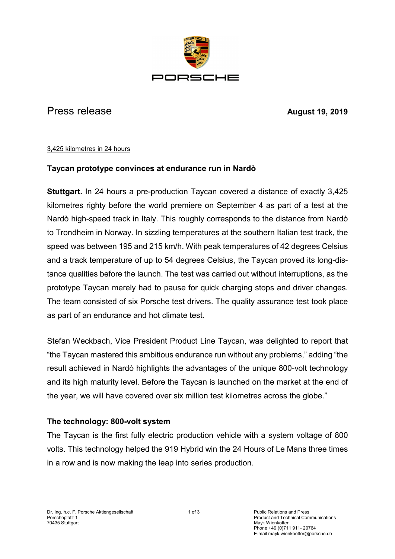

# Press release **August 19, 2019**

#### 3,425 kilometres in 24 hours

#### **Taycan prototype convinces at endurance run in Nardò**

**Stuttgart.** In 24 hours a pre-production Taycan covered a distance of exactly 3,425 kilometres righty before the world premiere on September 4 as part of a test at the Nardò high-speed track in Italy. This roughly corresponds to the distance from Nardò to Trondheim in Norway. In sizzling temperatures at the southern Italian test track, the speed was between 195 and 215 km/h. With peak temperatures of 42 degrees Celsius and a track temperature of up to 54 degrees Celsius, the Taycan proved its long-distance qualities before the launch. The test was carried out without interruptions, as the prototype Taycan merely had to pause for quick charging stops and driver changes. The team consisted of six Porsche test drivers. The quality assurance test took place as part of an endurance and hot climate test.

Stefan Weckbach, Vice President Product Line Taycan, was delighted to report that "the Taycan mastered this ambitious endurance run without any problems," adding "the result achieved in Nardò highlights the advantages of the unique 800-volt technology and its high maturity level. Before the Taycan is launched on the market at the end of the year, we will have covered over six million test kilometres across the globe."

### **The technology: 800-volt system**

The Taycan is the first fully electric production vehicle with a system voltage of 800 volts. This technology helped the 919 Hybrid win the 24 Hours of Le Mans three times in a row and is now making the leap into series production.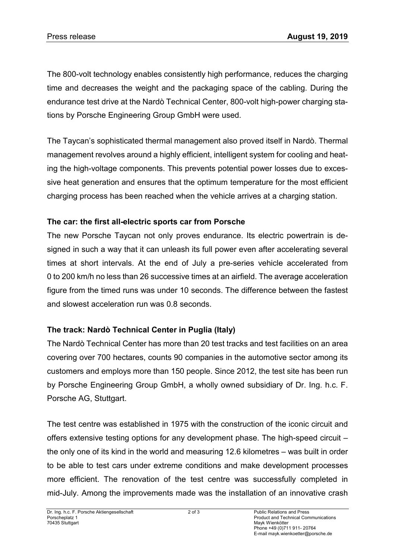The 800-volt technology enables consistently high performance, reduces the charging time and decreases the weight and the packaging space of the cabling. During the endurance test drive at the Nardò Technical Center, 800-volt high-power charging stations by Porsche Engineering Group GmbH were used.

The Taycan's sophisticated thermal management also proved itself in Nardò. Thermal management revolves around a highly efficient, intelligent system for cooling and heating the high-voltage components. This prevents potential power losses due to excessive heat generation and ensures that the optimum temperature for the most efficient charging process has been reached when the vehicle arrives at a charging station.

### **The car: the first all-electric sports car from Porsche**

The new Porsche Taycan not only proves endurance. Its electric powertrain is designed in such a way that it can unleash its full power even after accelerating several times at short intervals. At the end of July a pre-series vehicle accelerated from 0 to 200 km/h no less than 26 successive times at an airfield. The average acceleration figure from the timed runs was under 10 seconds. The difference between the fastest and slowest acceleration run was 0.8 seconds.

## **The track: Nardò Technical Center in Puglia (Italy)**

The Nardò Technical Center has more than 20 test tracks and test facilities on an area covering over 700 hectares, counts 90 companies in the automotive sector among its customers and employs more than 150 people. Since 2012, the test site has been run by Porsche Engineering Group GmbH, a wholly owned subsidiary of Dr. Ing. h.c. F. Porsche AG, Stuttgart.

The test centre was established in 1975 with the construction of the iconic circuit and offers extensive testing options for any development phase. The high-speed circuit – the only one of its kind in the world and measuring 12.6 kilometres – was built in order to be able to test cars under extreme conditions and make development processes more efficient. The renovation of the test centre was successfully completed in mid-July. Among the improvements made was the installation of an innovative crash